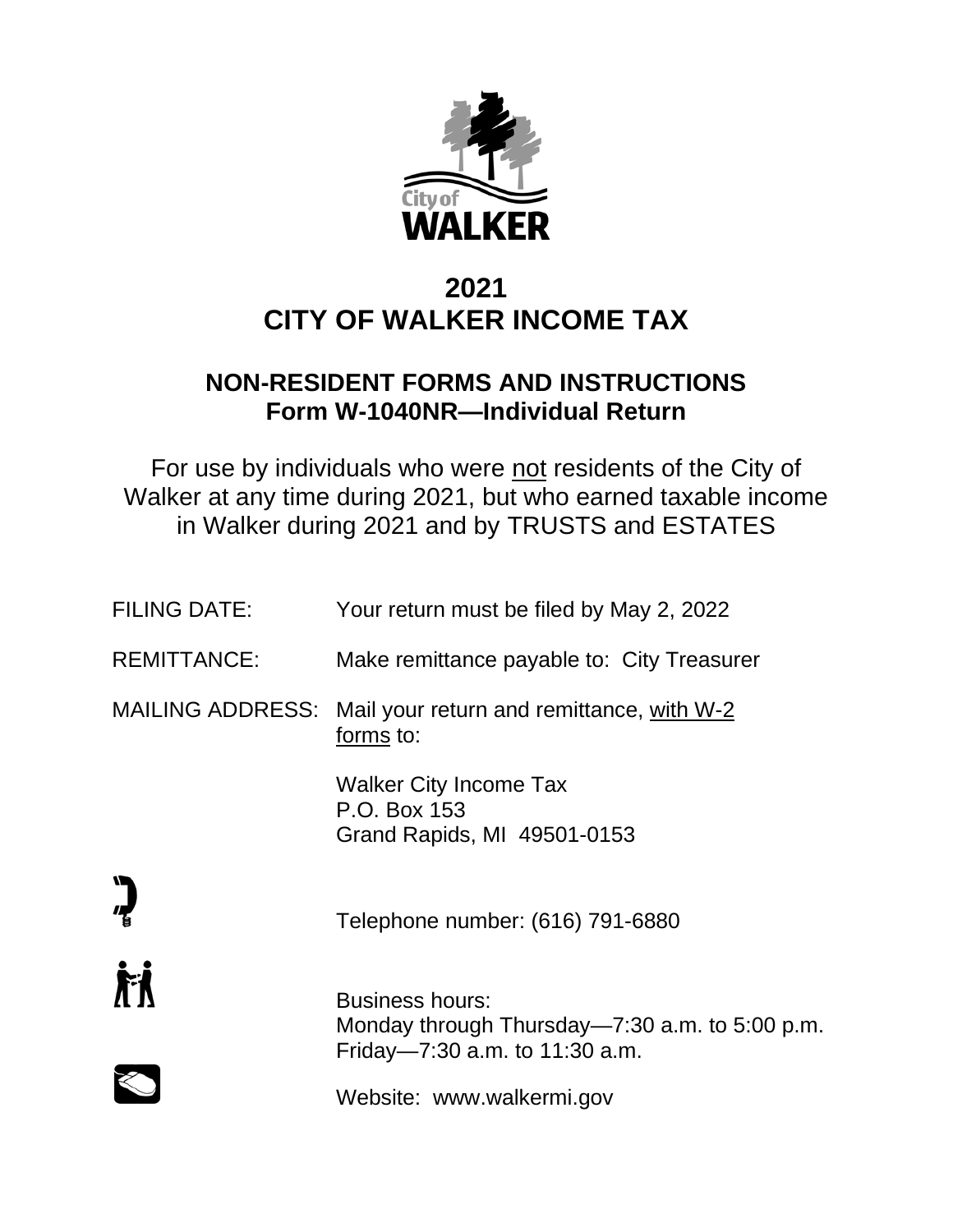

# **2021 CITY OF WALKER INCOME TAX**

## **NON-RESIDENT FORMS AND INSTRUCTIONS Form W-1040NR—Individual Return**

For use by individuals who were not residents of the City of Walker at any time during 2021, but who earned taxable income in Walker during 2021 and by TRUSTS and ESTATES

| <b>FILING DATE:</b>     | Your return must be filed by May 2, 2022                                                                   |
|-------------------------|------------------------------------------------------------------------------------------------------------|
| <b>REMITTANCE:</b>      | Make remittance payable to: City Treasurer                                                                 |
| <b>MAILING ADDRESS:</b> | Mail your return and remittance, with W-2<br>forms to:                                                     |
|                         | Walker City Income Tax<br>P.O. Box 153<br>Grand Rapids, MI 49501-0153                                      |
|                         | Telephone number: (616) 791-6880                                                                           |
| 盾                       | <b>Business hours:</b><br>Monday through Thursday—7:30 a.m. to 5:00 p.m.<br>Friday-7:30 a.m. to 11:30 a.m. |
|                         | Website: www.walkermi.gov                                                                                  |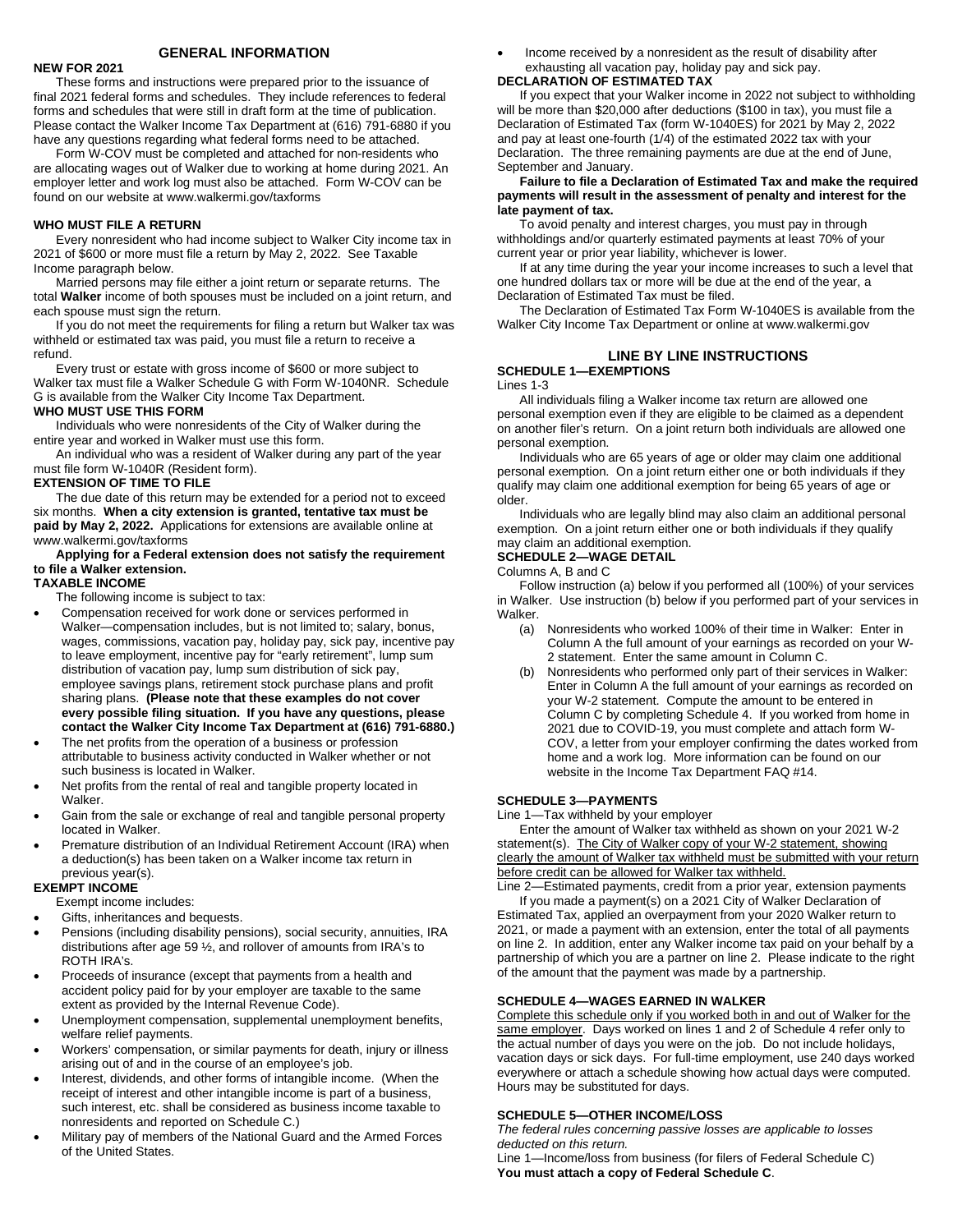#### **GENERAL INFORMATION**

#### **NEW FOR 2021**

These forms and instructions were prepared prior to the issuance of final 2021 federal forms and schedules. They include references to federal forms and schedules that were still in draft form at the time of publication. Please contact the Walker Income Tax Department at (616) 791-6880 if you have any questions regarding what federal forms need to be attached.

Form W-COV must be completed and attached for non-residents who are allocating wages out of Walker due to working at home during 2021. An employer letter and work log must also be attached. Form W-COV can be found on our website at www.walkermi.gov/taxforms

#### **WHO MUST FILE A RETURN**

Every nonresident who had income subject to Walker City income tax in 2021 of \$600 or more must file a return by May 2, 2022. See Taxable Income paragraph below.

Married persons may file either a joint return or separate returns. The total **Walker** income of both spouses must be included on a joint return, and each spouse must sign the return.

If you do not meet the requirements for filing a return but Walker tax was withheld or estimated tax was paid, you must file a return to receive a refund.

Every trust or estate with gross income of \$600 or more subject to Walker tax must file a Walker Schedule G with Form W-1040NR. Schedule G is available from the Walker City Income Tax Department.

#### **WHO MUST USE THIS FORM**

Individuals who were nonresidents of the City of Walker during the entire year and worked in Walker must use this form.

An individual who was a resident of Walker during any part of the year must file form W-1040R (Resident form).

#### **EXTENSION OF TIME TO FILE**

The due date of this return may be extended for a period not to exceed six months. **When a city extension is granted, tentative tax must be paid by May 2, 2022.** Applications for extensions are available online at www.walkermi.gov/taxforms

#### **Applying for a Federal extension does not satisfy the requirement to file a Walker extension.**

#### **TAXABLE INCOME**

The following income is subject to tax:

- Compensation received for work done or services performed in Walker—compensation includes, but is not limited to; salary, bonus, wages, commissions, vacation pay, holiday pay, sick pay, incentive pay to leave employment, incentive pay for "early retirement", lump sum distribution of vacation pay, lump sum distribution of sick pay, employee savings plans, retirement stock purchase plans and profit sharing plans. **(Please note that these examples do not cover every possible filing situation. If you have any questions, please contact the Walker City Income Tax Department at (616) 791-6880.)**
- The net profits from the operation of a business or profession attributable to business activity conducted in Walker whether or not such business is located in Walker.
- Net profits from the rental of real and tangible property located in Walker.
- Gain from the sale or exchange of real and tangible personal property located in Walker.
- Premature distribution of an Individual Retirement Account (IRA) when a deduction(s) has been taken on a Walker income tax return in previous year(s).

#### **EXEMPT INCOME**

Exempt income includes:

- Gifts, inheritances and bequests.
- Pensions (including disability pensions), social security, annuities, IRA distributions after age 59 ½, and rollover of amounts from IRA's to ROTH IRA's.
- Proceeds of insurance (except that payments from a health and accident policy paid for by your employer are taxable to the same extent as provided by the Internal Revenue Code).
- Unemployment compensation, supplemental unemployment benefits, welfare relief payments.
- Workers' compensation, or similar payments for death, injury or illness arising out of and in the course of an employee's job.
- Interest, dividends, and other forms of intangible income. (When the receipt of interest and other intangible income is part of a business, such interest, etc. shall be considered as business income taxable to nonresidents and reported on Schedule C.)
- Military pay of members of the National Guard and the Armed Forces of the United States.

• Income received by a nonresident as the result of disability after exhausting all vacation pay, holiday pay and sick pay.

## **DECLARATION OF ESTIMATED TAX**

If you expect that your Walker income in 2022 not subject to withholding will be more than \$20,000 after deductions (\$100 in tax), you must file a Declaration of Estimated Tax (form W-1040ES) for 2021 by May 2, 2022 and pay at least one-fourth (1/4) of the estimated 2022 tax with your Declaration. The three remaining payments are due at the end of June, September and January.

#### **Failure to file a Declaration of Estimated Tax and make the required payments will result in the assessment of penalty and interest for the late payment of tax.**

To avoid penalty and interest charges, you must pay in through withholdings and/or quarterly estimated payments at least 70% of your current year or prior year liability, whichever is lower.

If at any time during the year your income increases to such a level that one hundred dollars tax or more will be due at the end of the year, a Declaration of Estimated Tax must be filed.

The Declaration of Estimated Tax Form W-1040ES is available from the Walker City Income Tax Department or online at www.walkermi.gov

## **LINE BY LINE INSTRUCTIONS**

#### **SCHEDULE 1—EXEMPTIONS** Lines 1-3

All individuals filing a Walker income tax return are allowed one personal exemption even if they are eligible to be claimed as a dependent on another filer's return. On a joint return both individuals are allowed one personal exemption.

Individuals who are 65 years of age or older may claim one additional personal exemption. On a joint return either one or both individuals if they qualify may claim one additional exemption for being 65 years of age or older.

Individuals who are legally blind may also claim an additional personal exemption. On a joint return either one or both individuals if they qualify may claim an additional exemption.

#### **SCHEDULE 2—WAGE DETAIL**

Columns A, B and C

Follow instruction (a) below if you performed all (100%) of your services in Walker. Use instruction (b) below if you performed part of your services in Walker.

- (a) Nonresidents who worked 100% of their time in Walker: Enter in Column A the full amount of your earnings as recorded on your W-2 statement. Enter the same amount in Column C.
- (b) Nonresidents who performed only part of their services in Walker: Enter in Column A the full amount of your earnings as recorded on your W-2 statement. Compute the amount to be entered in Column C by completing Schedule 4. If you worked from home in 2021 due to COVID-19, you must complete and attach form W-COV, a letter from your employer confirming the dates worked from home and a work log. More information can be found on our website in the Income Tax Department FAQ #14.

#### **SCHEDULE 3—PAYMENTS**

Line 1—Tax withheld by your employer

Enter the amount of Walker tax withheld as shown on your 2021 W-2 statement(s). The City of Walker copy of your W-2 statement, showing clearly the amount of Walker tax withheld must be submitted with your return before credit can be allowed for Walker tax withheld.

Line 2—Estimated payments, credit from a prior year, extension payments If you made a payment(s) on a 2021 City of Walker Declaration of Estimated Tax, applied an overpayment from your 2020 Walker return to 2021, or made a payment with an extension, enter the total of all payments on line 2. In addition, enter any Walker income tax paid on your behalf by a partnership of which you are a partner on line 2. Please indicate to the right of the amount that the payment was made by a partnership.

#### **SCHEDULE 4—WAGES EARNED IN WALKER**

Complete this schedule only if you worked both in and out of Walker for the same employer. Days worked on lines 1 and 2 of Schedule 4 refer only to the actual number of days you were on the job. Do not include holidays, vacation days or sick days. For full-time employment, use 240 days worked everywhere or attach a schedule showing how actual days were computed. Hours may be substituted for days.

#### **SCHEDULE 5—OTHER INCOME/LOSS**

*The federal rules concerning passive losses are applicable to losses deducted on this return.*

Line 1—Income/loss from business (for filers of Federal Schedule C) **You must attach a copy of Federal Schedule C**.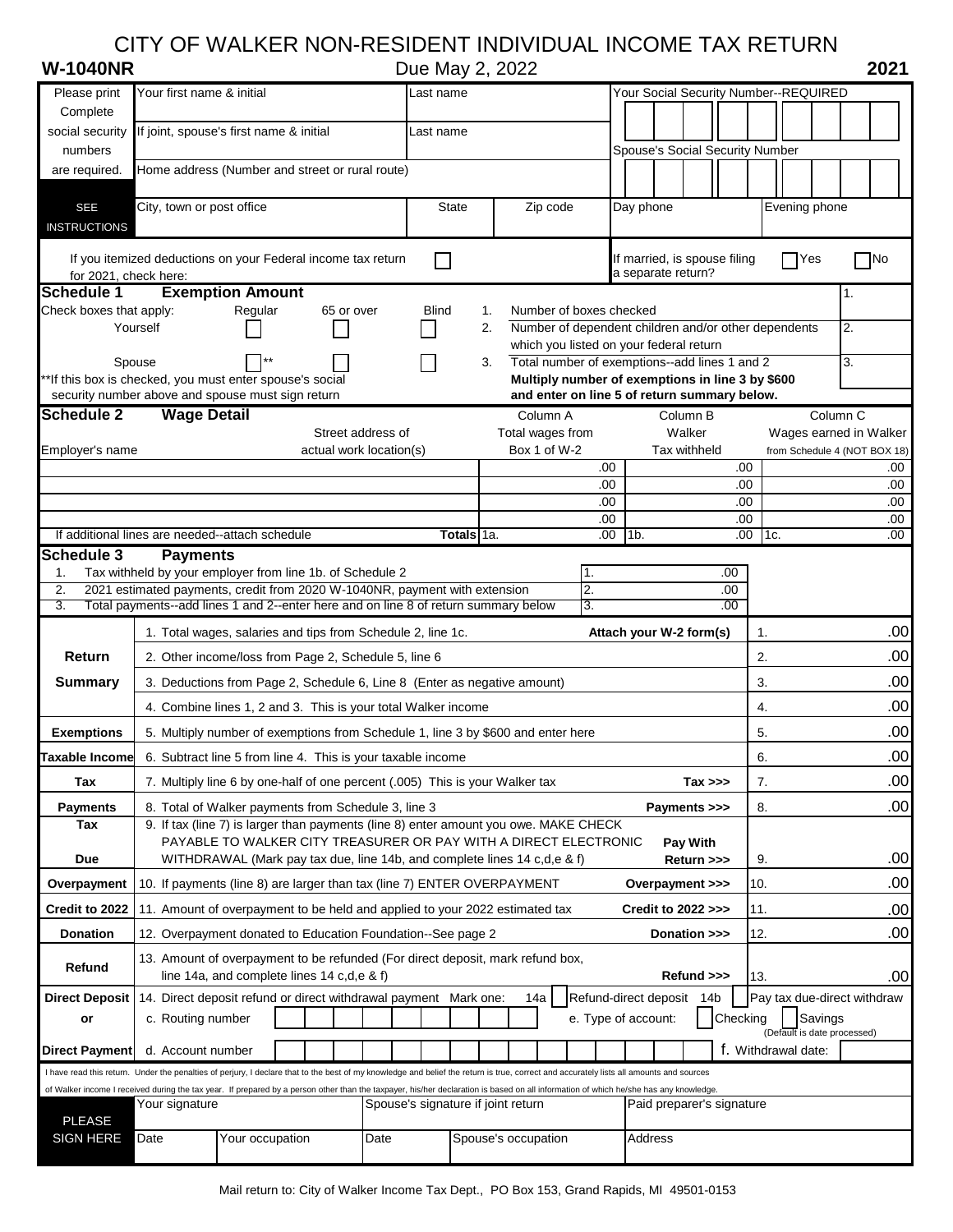## CITY OF WALKER NON-RESIDENT INDIVIDUAL INCOME TAX RETURN

| <b>W-1040NR</b> |  |  |  |  |  |
|-----------------|--|--|--|--|--|
|-----------------|--|--|--|--|--|

**Due May 2, 2022 2021**<br>**Wour Social Security Number-REQUIRED** 

| Please print                                                                                                                                                                            | Your first name & initial                                                                                                                   |                                                                            |  |                         | Last name                          |              |          |                                                                                                  | Your Social Security Number--REQUIRED |                     |                |                                 |              |            |     |                     |                             |    |                              |
|-----------------------------------------------------------------------------------------------------------------------------------------------------------------------------------------|---------------------------------------------------------------------------------------------------------------------------------------------|----------------------------------------------------------------------------|--|-------------------------|------------------------------------|--------------|----------|--------------------------------------------------------------------------------------------------|---------------------------------------|---------------------|----------------|---------------------------------|--------------|------------|-----|---------------------|-----------------------------|----|------------------------------|
| Complete                                                                                                                                                                                |                                                                                                                                             |                                                                            |  |                         |                                    |              |          |                                                                                                  |                                       |                     |                |                                 |              |            |     |                     |                             |    |                              |
| social security                                                                                                                                                                         | If joint, spouse's first name & initial                                                                                                     |                                                                            |  |                         |                                    | Last name    |          |                                                                                                  |                                       |                     |                |                                 |              |            |     |                     |                             |    |                              |
| numbers<br>are required.                                                                                                                                                                | Home address (Number and street or rural route)                                                                                             |                                                                            |  |                         |                                    |              |          |                                                                                                  |                                       |                     |                | Spouse's Social Security Number |              |            |     |                     |                             |    |                              |
|                                                                                                                                                                                         |                                                                                                                                             |                                                                            |  |                         |                                    |              |          |                                                                                                  |                                       |                     |                |                                 |              |            |     |                     |                             |    |                              |
| <b>SEE</b>                                                                                                                                                                              | City, town or post office                                                                                                                   |                                                                            |  |                         |                                    | <b>State</b> |          | Zip code                                                                                         |                                       |                     |                | Day phone                       |              |            |     |                     | Evening phone               |    |                              |
| <b>INSTRUCTIONS</b>                                                                                                                                                                     |                                                                                                                                             |                                                                            |  |                         |                                    |              |          |                                                                                                  |                                       |                     |                |                                 |              |            |     |                     |                             |    |                              |
|                                                                                                                                                                                         | If you itemized deductions on your Federal income tax return                                                                                |                                                                            |  |                         |                                    |              |          |                                                                                                  |                                       |                     |                | If married, is spouse filing    |              |            |     | Yes                 |                             |    | $\Box$ No                    |
| for 2021, check here:                                                                                                                                                                   |                                                                                                                                             |                                                                            |  |                         |                                    |              |          |                                                                                                  |                                       |                     |                | a separate return?              |              |            |     |                     |                             |    |                              |
| <b>Schedule 1</b>                                                                                                                                                                       |                                                                                                                                             | <b>Exemption Amount</b>                                                    |  |                         |                                    |              |          |                                                                                                  |                                       |                     |                |                                 |              |            |     |                     |                             | 1. |                              |
| Check boxes that apply:                                                                                                                                                                 | Yourself                                                                                                                                    | Regular                                                                    |  | 65 or over              |                                    | <b>Blind</b> | 1.<br>2. | Number of boxes checked<br>Number of dependent children and/or other dependents                  |                                       |                     |                |                                 |              |            |     |                     |                             | 2. |                              |
|                                                                                                                                                                                         |                                                                                                                                             |                                                                            |  |                         |                                    |              |          | which you listed on your federal return                                                          |                                       |                     |                |                                 |              |            |     |                     |                             |    |                              |
|                                                                                                                                                                                         | Spouse                                                                                                                                      |                                                                            |  |                         |                                    |              | 3.       | Total number of exemptions--add lines 1 and 2                                                    |                                       |                     |                |                                 |              |            |     |                     |                             | 3. |                              |
| **If this box is checked, you must enter spouse's social<br>security number above and spouse must sign return                                                                           |                                                                                                                                             |                                                                            |  |                         |                                    |              |          | Multiply number of exemptions in line 3 by \$600<br>and enter on line 5 of return summary below. |                                       |                     |                |                                 |              |            |     |                     |                             |    |                              |
| <b>Schedule 2</b>                                                                                                                                                                       | <b>Wage Detail</b>                                                                                                                          |                                                                            |  |                         |                                    |              |          | Column A                                                                                         |                                       |                     |                |                                 | Column B     |            |     |                     | Column <sub>C</sub>         |    |                              |
|                                                                                                                                                                                         |                                                                                                                                             |                                                                            |  | Street address of       |                                    |              |          | Total wages from                                                                                 |                                       |                     |                |                                 | Walker       |            |     |                     |                             |    | Wages earned in Walker       |
| Employer's name                                                                                                                                                                         |                                                                                                                                             |                                                                            |  | actual work location(s) |                                    |              |          | Box 1 of W-2                                                                                     |                                       |                     |                |                                 | Tax withheld |            |     |                     |                             |    | from Schedule 4 (NOT BOX 18) |
|                                                                                                                                                                                         |                                                                                                                                             |                                                                            |  |                         |                                    |              |          |                                                                                                  |                                       | .00<br>.00          |                |                                 |              | .00<br>.00 |     |                     |                             |    | .00<br>.00                   |
|                                                                                                                                                                                         |                                                                                                                                             |                                                                            |  |                         |                                    |              |          |                                                                                                  |                                       | .00                 |                |                                 |              | .00        |     |                     |                             |    | .00                          |
|                                                                                                                                                                                         |                                                                                                                                             |                                                                            |  |                         |                                    |              |          |                                                                                                  |                                       | .00                 |                |                                 |              | .00        |     |                     |                             |    | .00                          |
| If additional lines are needed--attach schedule<br>Schedule 3                                                                                                                           | <b>Payments</b>                                                                                                                             |                                                                            |  |                         |                                    | Totals 1a.   |          |                                                                                                  |                                       | .00                 | 1 <sub>b</sub> |                                 |              | .00        | 1c. |                     |                             |    | .00                          |
| 1.                                                                                                                                                                                      | Tax withheld by your employer from line 1b. of Schedule 2                                                                                   |                                                                            |  |                         |                                    |              |          |                                                                                                  |                                       | 1.                  |                |                                 |              | .00        |     |                     |                             |    |                              |
| 2.                                                                                                                                                                                      |                                                                                                                                             |                                                                            |  |                         |                                    |              |          |                                                                                                  |                                       | $\overline{2}$      |                |                                 |              | .00        |     |                     |                             |    |                              |
| 2021 estimated payments, credit from 2020 W-1040NR, payment with extension<br>3.<br>Total payments--add lines 1 and 2--enter here and on line 8 of return summary below<br>3.<br>.00    |                                                                                                                                             |                                                                            |  |                         |                                    |              |          |                                                                                                  |                                       |                     |                |                                 |              |            |     |                     |                             |    |                              |
|                                                                                                                                                                                         |                                                                                                                                             |                                                                            |  |                         |                                    |              |          |                                                                                                  |                                       |                     |                |                                 |              |            |     |                     |                             |    |                              |
|                                                                                                                                                                                         | 1. Total wages, salaries and tips from Schedule 2, line 1c.                                                                                 |                                                                            |  |                         |                                    |              |          |                                                                                                  |                                       |                     |                | Attach your W-2 form(s)         |              |            | 1.  |                     |                             |    | .00                          |
| Return                                                                                                                                                                                  | 2. Other income/loss from Page 2, Schedule 5, line 6                                                                                        |                                                                            |  |                         |                                    |              |          |                                                                                                  |                                       |                     |                |                                 |              |            | 2.  |                     |                             |    | .00                          |
| <b>Summary</b>                                                                                                                                                                          | 3. Deductions from Page 2, Schedule 6, Line 8 (Enter as negative amount)                                                                    |                                                                            |  |                         |                                    |              |          |                                                                                                  |                                       |                     |                |                                 |              |            | 3.  |                     |                             |    | .00                          |
|                                                                                                                                                                                         | 4. Combine lines 1, 2 and 3. This is your total Walker income                                                                               |                                                                            |  |                         |                                    |              |          |                                                                                                  |                                       |                     |                |                                 |              |            | 4.  |                     |                             |    | .00                          |
| <b>Exemptions</b>                                                                                                                                                                       | 5. Multiply number of exemptions from Schedule 1, line 3 by \$600 and enter here                                                            |                                                                            |  |                         |                                    |              |          |                                                                                                  |                                       |                     |                |                                 |              |            | 5.  |                     |                             |    | .00                          |
| Taxable Income                                                                                                                                                                          | 6. Subtract line 5 from line 4. This is your taxable income                                                                                 |                                                                            |  |                         |                                    |              |          |                                                                                                  |                                       |                     |                |                                 |              |            | 6.  |                     |                             |    |                              |
|                                                                                                                                                                                         |                                                                                                                                             |                                                                            |  |                         |                                    |              |          |                                                                                                  |                                       |                     |                |                                 |              |            |     |                     |                             |    | .00                          |
| Tax                                                                                                                                                                                     | 7. Multiply line 6 by one-half of one percent (.005) This is your Walker tax                                                                |                                                                            |  |                         |                                    |              |          |                                                                                                  |                                       |                     |                |                                 | Tax >>>      |            | 7.  |                     |                             |    | .00                          |
| <b>Payments</b><br>Tax                                                                                                                                                                  | 8. Total of Walker payments from Schedule 3, line 3<br>9. If tax (line 7) is larger than payments (line 8) enter amount you owe. MAKE CHECK |                                                                            |  |                         |                                    |              |          |                                                                                                  |                                       |                     |                | Payments >>>                    |              |            | 8.  |                     |                             |    | .00                          |
|                                                                                                                                                                                         |                                                                                                                                             | PAYABLE TO WALKER CITY TREASURER OR PAY WITH A DIRECT ELECTRONIC           |  |                         |                                    |              |          |                                                                                                  |                                       |                     |                |                                 | Pay With     |            |     |                     |                             |    |                              |
| Due                                                                                                                                                                                     |                                                                                                                                             | WITHDRAWAL (Mark pay tax due, line 14b, and complete lines 14 c, d, e & f) |  |                         |                                    |              |          |                                                                                                  |                                       |                     |                |                                 | Return >>>   |            | 9.  |                     |                             |    | .00                          |
| Overpayment                                                                                                                                                                             | 10. If payments (line 8) are larger than tax (line 7) ENTER OVERPAYMENT                                                                     |                                                                            |  |                         |                                    |              |          |                                                                                                  |                                       |                     |                | Overpayment >>>                 |              |            | 10. |                     |                             |    | .00                          |
| Credit to 2022                                                                                                                                                                          | 11. Amount of overpayment to be held and applied to your 2022 estimated tax                                                                 |                                                                            |  |                         |                                    |              |          |                                                                                                  |                                       |                     |                | Credit to 2022 >>>              |              |            | 11. |                     |                             |    | .00                          |
| <b>Donation</b>                                                                                                                                                                         | 12. Overpayment donated to Education Foundation-See page 2                                                                                  |                                                                            |  |                         |                                    |              |          |                                                                                                  |                                       |                     |                |                                 | Donation >>> |            | 12. |                     |                             |    | .00                          |
|                                                                                                                                                                                         | 13. Amount of overpayment to be refunded (For direct deposit, mark refund box,                                                              |                                                                            |  |                         |                                    |              |          |                                                                                                  |                                       |                     |                |                                 |              |            |     |                     |                             |    |                              |
| Refund                                                                                                                                                                                  |                                                                                                                                             | line 14a, and complete lines 14 c,d,e & f)                                 |  |                         |                                    |              |          |                                                                                                  |                                       |                     |                |                                 | Refund >>>   |            | 13. |                     |                             |    | .00                          |
| <b>Direct Deposit</b>                                                                                                                                                                   | 14. Direct deposit refund or direct withdrawal payment Mark one:                                                                            |                                                                            |  |                         |                                    |              |          | 14a                                                                                              |                                       |                     |                | Refund-direct deposit 14b       |              |            |     |                     |                             |    | Pay tax due-direct withdraw  |
| or                                                                                                                                                                                      | c. Routing number                                                                                                                           |                                                                            |  |                         |                                    |              |          |                                                                                                  |                                       | e. Type of account: |                |                                 |              | Checking   |     |                     | Savings                     |    |                              |
| <b>Direct Payment</b>                                                                                                                                                                   | d. Account number                                                                                                                           |                                                                            |  |                         |                                    |              |          |                                                                                                  |                                       |                     |                |                                 |              |            |     | f. Withdrawal date: | (Default is date processed) |    |                              |
| I have read this return. Under the penalties of perjury, I declare that to the best of my knowledge and belief the return is true, correct and accurately lists all amounts and sources |                                                                                                                                             |                                                                            |  |                         |                                    |              |          |                                                                                                  |                                       |                     |                |                                 |              |            |     |                     |                             |    |                              |
| of Walker income I received during the tax year. If prepared by a person other than the taxpayer, his/her declaration is based on all information of which he/she has any knowledge.    |                                                                                                                                             |                                                                            |  |                         |                                    |              |          |                                                                                                  |                                       |                     |                |                                 |              |            |     |                     |                             |    |                              |
| <b>PLEASE</b>                                                                                                                                                                           | Your signature                                                                                                                              |                                                                            |  |                         | Spouse's signature if joint return |              |          |                                                                                                  |                                       |                     |                | Paid preparer's signature       |              |            |     |                     |                             |    |                              |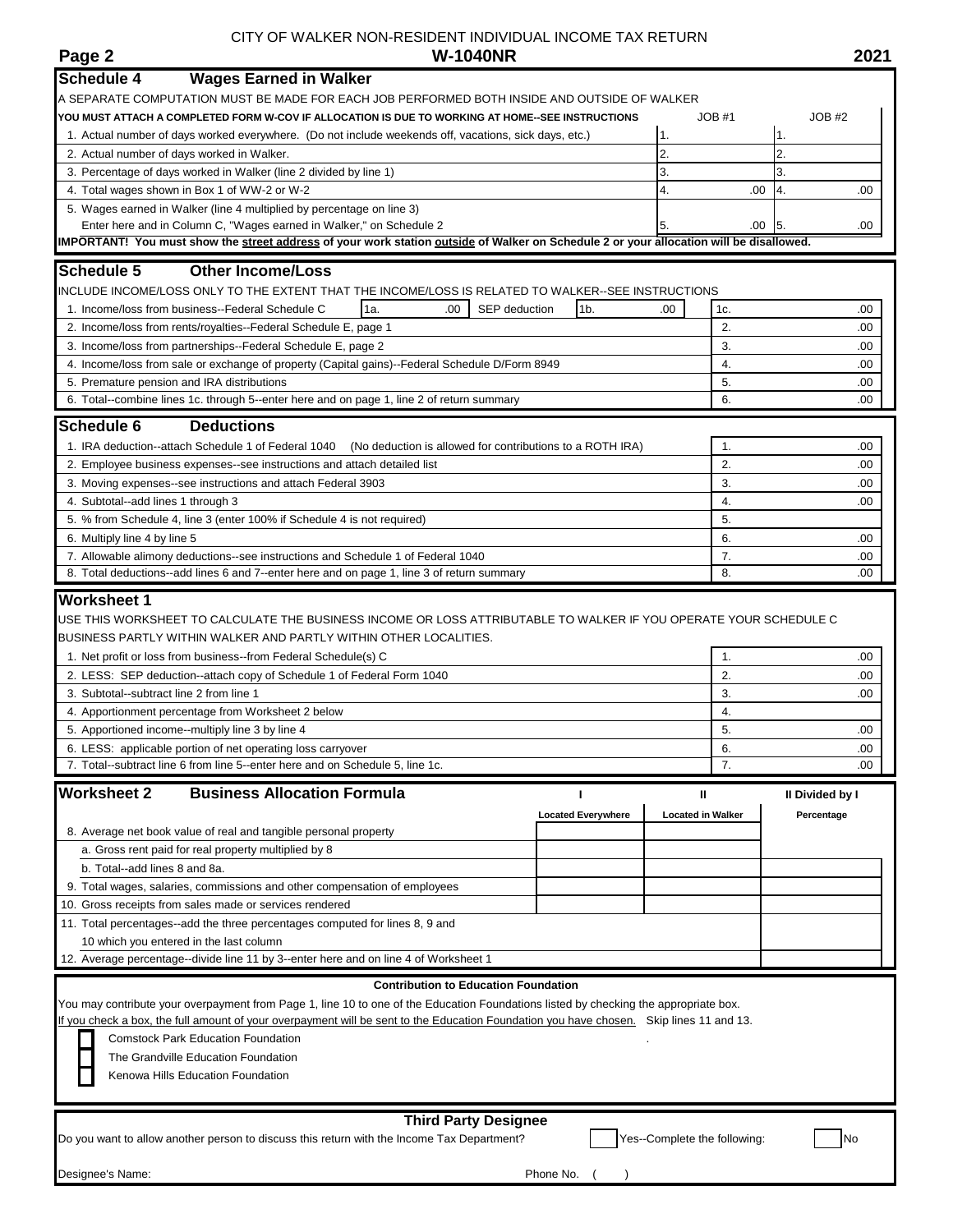## CITY OF WALKER NON-RESIDENT INDIVIDUAL INCOME TAX RETURN **W-1040NR Page 2 W-1040NR 2021**

| <b>Schedule 4</b><br><b>Wages Earned in Walker</b>                                                                                                                            |                           |                              |                |                 |            |
|-------------------------------------------------------------------------------------------------------------------------------------------------------------------------------|---------------------------|------------------------------|----------------|-----------------|------------|
| A SEPARATE COMPUTATION MUST BE MADE FOR EACH JOB PERFORMED BOTH INSIDE AND OUTSIDE OF WALKER                                                                                  |                           |                              |                |                 |            |
| YOU MUST ATTACH A COMPLETED FORM W-COV IF ALLOCATION IS DUE TO WORKING AT HOME--SEE INSTRUCTIONS                                                                              |                           |                              | JOB#1          | JOB#2           |            |
| 1. Actual number of days worked everywhere. (Do not include weekends off, vacations, sick days, etc.)                                                                         |                           | 1.                           |                | 1.              |            |
| 2. Actual number of days worked in Walker.                                                                                                                                    | $\overline{2}$            |                              | 2.             |                 |            |
| 3. Percentage of days worked in Walker (line 2 divided by line 1)                                                                                                             | 3.                        |                              | 3.             |                 |            |
| 4. Total wages shown in Box 1 of WW-2 or W-2                                                                                                                                  | 4.                        | .00                          | 4.             | .00             |            |
| 5. Wages earned in Walker (line 4 multiplied by percentage on line 3)                                                                                                         |                           |                              |                |                 |            |
| Enter here and in Column C, "Wages earned in Walker," on Schedule 2                                                                                                           |                           | 5.                           | .00            | 15.             | .00        |
| IMPORTANT! You must show the street address of your work station outside of Walker on Schedule 2 or your allocation will be disallowed.                                       |                           |                              |                |                 |            |
| <b>Schedule 5</b><br><b>Other Income/Loss</b>                                                                                                                                 |                           |                              |                |                 |            |
| INCLUDE INCOME/LOSS ONLY TO THE EXTENT THAT THE INCOME/LOSS IS RELATED TO WALKER--SEE INSTRUCTIONS                                                                            |                           |                              |                |                 |            |
| 1a.<br>1. Income/loss from business--Federal Schedule C<br>SEP deduction<br>.00                                                                                               | 1 <sub>b</sub>            | .00                          | 1c.            |                 | .00        |
| 2. Income/loss from rents/royalties--Federal Schedule E, page 1                                                                                                               |                           |                              | $\overline{2}$ |                 | .00        |
| 3. Income/loss from partnerships--Federal Schedule E, page 2                                                                                                                  |                           |                              | 3.             |                 | .00        |
| 4. Income/loss from sale or exchange of property (Capital gains)--Federal Schedule D/Form 8949                                                                                |                           |                              | 4.             |                 | .00        |
| 5. Premature pension and IRA distributions                                                                                                                                    |                           |                              | 5.             |                 | .00        |
| 6. Total--combine lines 1c. through 5--enter here and on page 1, line 2 of return summary                                                                                     |                           |                              | 6.             |                 | .00.       |
| <b>Schedule 6</b>                                                                                                                                                             |                           |                              |                |                 |            |
| <b>Deductions</b>                                                                                                                                                             |                           |                              |                |                 |            |
| 1. IRA deduction--attach Schedule 1 of Federal 1040<br>(No deduction is allowed for contributions to a ROTH IRA)                                                              |                           |                              | 1.             |                 | .00.       |
| 2. Employee business expenses-see instructions and attach detailed list                                                                                                       |                           |                              | 2.             |                 | .00        |
| 3. Moving expenses--see instructions and attach Federal 3903                                                                                                                  |                           |                              | 3.             |                 | .00        |
| 4. Subtotal--add lines 1 through 3                                                                                                                                            |                           |                              | 4.             |                 | .00        |
| 5. % from Schedule 4, line 3 (enter 100% if Schedule 4 is not required)                                                                                                       |                           |                              | 5.             |                 |            |
| 6. Multiply line 4 by line 5                                                                                                                                                  |                           |                              | 6.             |                 | .00        |
| 7. Allowable alimony deductions-see instructions and Schedule 1 of Federal 1040<br>8. Total deductions--add lines 6 and 7--enter here and on page 1, line 3 of return summary |                           |                              | 7.<br>8.       |                 | .00<br>.00 |
|                                                                                                                                                                               |                           |                              |                |                 |            |
| <b>Worksheet 1</b>                                                                                                                                                            |                           |                              |                |                 |            |
| USE THIS WORKSHEET TO CALCULATE THE BUSINESS INCOME OR LOSS ATTRIBUTABLE TO WALKER IF YOU OPERATE YOUR SCHEDULE C                                                             |                           |                              |                |                 |            |
| BUSINESS PARTLY WITHIN WALKER AND PARTLY WITHIN OTHER LOCALITIES.                                                                                                             |                           |                              |                |                 |            |
| 1. Net profit or loss from business--from Federal Schedule(s) C                                                                                                               |                           |                              | 1.             |                 | .00        |
| 2. LESS: SEP deduction--attach copy of Schedule 1 of Federal Form 1040                                                                                                        |                           |                              | 2.             |                 | .00        |
| 3. Subtotal--subtract line 2 from line 1                                                                                                                                      |                           |                              | 3.             |                 | .00        |
| 4. Apportionment percentage from Worksheet 2 below                                                                                                                            |                           |                              | 4.             |                 |            |
| 5. Apportioned income--multiply line 3 by line 4                                                                                                                              |                           |                              | 5.             |                 | .00        |
| 6. LESS: applicable portion of net operating loss carryover                                                                                                                   |                           |                              | 6.             |                 | .00        |
| 7. Total--subtract line 6 from line 5--enter here and on Schedule 5, line 1c.                                                                                                 |                           |                              | 7.             |                 | .00        |
| <b>Worksheet 2</b><br><b>Business Allocation Formula</b>                                                                                                                      |                           | Ш                            |                | II Divided by I |            |
|                                                                                                                                                                               | <b>Located Everywhere</b> | <b>Located in Walker</b>     |                | Percentage      |            |
| 8. Average net book value of real and tangible personal property                                                                                                              |                           |                              |                |                 |            |
| a. Gross rent paid for real property multiplied by 8                                                                                                                          |                           |                              |                |                 |            |
| b. Total--add lines 8 and 8a.                                                                                                                                                 |                           |                              |                |                 |            |
| 9. Total wages, salaries, commissions and other compensation of employees                                                                                                     |                           |                              |                |                 |            |
| 10. Gross receipts from sales made or services rendered                                                                                                                       |                           |                              |                |                 |            |
| 11. Total percentages--add the three percentages computed for lines 8, 9 and                                                                                                  |                           |                              |                |                 |            |
| 10 which you entered in the last column                                                                                                                                       |                           |                              |                |                 |            |
| 12. Average percentage--divide line 11 by 3--enter here and on line 4 of Worksheet 1                                                                                          |                           |                              |                |                 |            |
| <b>Contribution to Education Foundation</b>                                                                                                                                   |                           |                              |                |                 |            |
| You may contribute your overpayment from Page 1, line 10 to one of the Education Foundations listed by checking the appropriate box.                                          |                           |                              |                |                 |            |
| If you check a box, the full amount of your overpayment will be sent to the Education Foundation you have chosen. Skip lines 11 and 13.                                       |                           |                              |                |                 |            |
| <b>Comstock Park Education Foundation</b>                                                                                                                                     |                           |                              |                |                 |            |
| The Grandville Education Foundation                                                                                                                                           |                           |                              |                |                 |            |
| Kenowa Hills Education Foundation                                                                                                                                             |                           |                              |                |                 |            |
|                                                                                                                                                                               |                           |                              |                |                 |            |
|                                                                                                                                                                               |                           |                              |                |                 |            |
| <b>Third Party Designee</b>                                                                                                                                                   |                           |                              |                |                 |            |
| Do you want to allow another person to discuss this return with the Income Tax Department?                                                                                    |                           | Yes--Complete the following: |                |                 | No         |
|                                                                                                                                                                               |                           |                              |                |                 |            |
| Designee's Name:                                                                                                                                                              | Phone No.                 |                              |                |                 |            |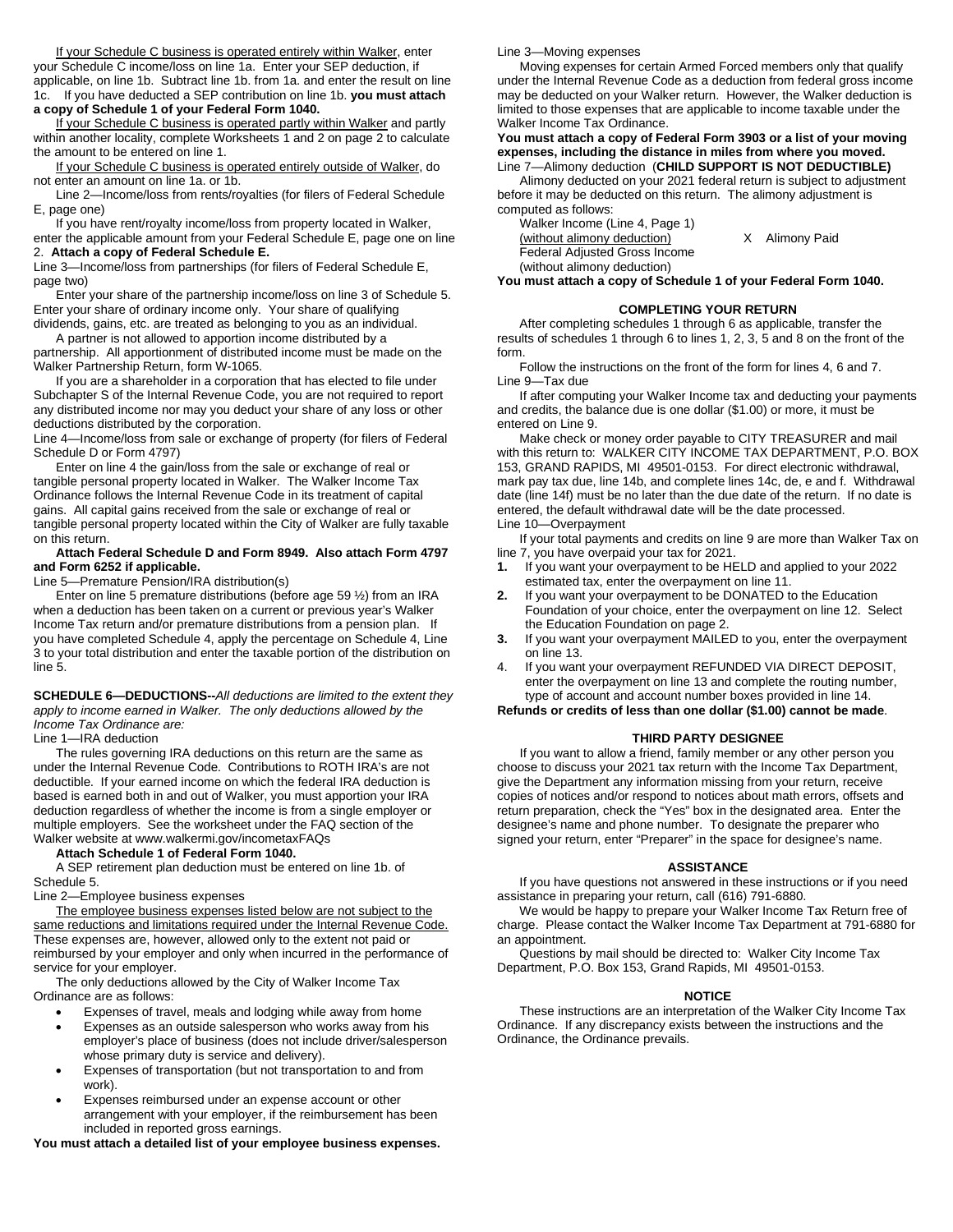If your Schedule C business is operated entirely within Walker, enter your Schedule C income/loss on line 1a. Enter your SEP deduction, if applicable, on line 1b. Subtract line 1b. from 1a. and enter the result on line 1c. If you have deducted a SEP contribution on line 1b. **you must attach a copy of Schedule 1 of your Federal Form 1040.**

If your Schedule C business is operated partly within Walker and partly within another locality, complete Worksheets 1 and 2 on page 2 to calculate the amount to be entered on line 1.

If your Schedule C business is operated entirely outside of Walker, do not enter an amount on line 1a. or 1b.

Line 2—Income/loss from rents/royalties (for filers of Federal Schedule E, page one)

If you have rent/royalty income/loss from property located in Walker, enter the applicable amount from your Federal Schedule E, page one on line 2. **Attach a copy of Federal Schedule E.**

Line 3—Income/loss from partnerships (for filers of Federal Schedule E, page two)

Enter your share of the partnership income/loss on line 3 of Schedule 5. Enter your share of ordinary income only. Your share of qualifying dividends, gains, etc. are treated as belonging to you as an individual.

A partner is not allowed to apportion income distributed by a partnership. All apportionment of distributed income must be made on the

Walker Partnership Return, form W-1065. If you are a shareholder in a corporation that has elected to file under

Subchapter S of the Internal Revenue Code, you are not required to report any distributed income nor may you deduct your share of any loss or other deductions distributed by the corporation.

Line 4—Income/loss from sale or exchange of property (for filers of Federal Schedule D or Form 4797)

Enter on line 4 the gain/loss from the sale or exchange of real or tangible personal property located in Walker. The Walker Income Tax Ordinance follows the Internal Revenue Code in its treatment of capital gains. All capital gains received from the sale or exchange of real or tangible personal property located within the City of Walker are fully taxable on this return.

#### **Attach Federal Schedule D and Form 8949. Also attach Form 4797 and Form 6252 if applicable.**

Line 5—Premature Pension/IRA distribution(s)

Enter on line 5 premature distributions (before age 59 ½) from an IRA when a deduction has been taken on a current or previous year's Walker Income Tax return and/or premature distributions from a pension plan. If you have completed Schedule 4, apply the percentage on Schedule 4, Line 3 to your total distribution and enter the taxable portion of the distribution on line 5.

**SCHEDULE 6—DEDUCTIONS--***All deductions are limited to the extent they apply to income earned in Walker. The only deductions allowed by the Income Tax Ordinance are:*

Line 1—IRA deduction

The rules governing IRA deductions on this return are the same as under the Internal Revenue Code. Contributions to ROTH IRA's are not deductible. If your earned income on which the federal IRA deduction is based is earned both in and out of Walker, you must apportion your IRA deduction regardless of whether the income is from a single employer or multiple employers. See the worksheet under the FAQ section of the Walker website at www.walkermi.gov/incometaxFAQs

#### **Attach Schedule 1 of Federal Form 1040.**

A SEP retirement plan deduction must be entered on line 1b. of Schedule 5.

#### Line 2—Employee business expenses

The employee business expenses listed below are not subject to the same reductions and limitations required under the Internal Revenue Code. These expenses are, however, allowed only to the extent not paid or reimbursed by your employer and only when incurred in the performance of service for your employer.

The only deductions allowed by the City of Walker Income Tax Ordinance are as follows:

- Expenses of travel, meals and lodging while away from home
- Expenses as an outside salesperson who works away from his employer's place of business (does not include driver/salesperson whose primary duty is service and delivery).
- Expenses of transportation (but not transportation to and from work).
- Expenses reimbursed under an expense account or other arrangement with your employer, if the reimbursement has been included in reported gross earnings.

**You must attach a detailed list of your employee business expenses.**

Line 3—Moving expenses

Moving expenses for certain Armed Forced members only that qualify under the Internal Revenue Code as a deduction from federal gross income may be deducted on your Walker return. However, the Walker deduction is limited to those expenses that are applicable to income taxable under the Walker Income Tax Ordinance.

#### **You must attach a copy of Federal Form 3903 or a list of your moving expenses, including the distance in miles from where you moved.** Line 7—Alimony deduction (**CHILD SUPPORT IS NOT DEDUCTIBLE)**

Alimony deducted on your 2021 federal return is subject to adjustment before it may be deducted on this return. The alimony adjustment is computed as follows:

Walker Income (Line 4, Page 1) (without alimony deduction) X Alimony Paid Federal Adjusted Gross Income (without alimony deduction)

**You must attach a copy of Schedule 1 of your Federal Form 1040.**

#### **COMPLETING YOUR RETURN**

After completing schedules 1 through 6 as applicable, transfer the results of schedules 1 through 6 to lines 1, 2, 3, 5 and 8 on the front of the form.

Follow the instructions on the front of the form for lines 4, 6 and 7. Line 9—Tax due

If after computing your Walker Income tax and deducting your payments and credits, the balance due is one dollar (\$1.00) or more, it must be entered on Line 9.

Make check or money order payable to CITY TREASURER and mail with this return to: WALKER CITY INCOME TAX DEPARTMENT, P.O. BOX 153, GRAND RAPIDS, MI 49501-0153. For direct electronic withdrawal, mark pay tax due, line 14b, and complete lines 14c, de, e and f. Withdrawal date (line 14f) must be no later than the due date of the return. If no date is entered, the default withdrawal date will be the date processed. Line 10—Overpayment

If your total payments and credits on line 9 are more than Walker Tax on line 7, you have overpaid your tax for 2021.

- **1.** If you want your overpayment to be HELD and applied to your 2022 estimated tax, enter the overpayment on line 11.
- **2.** If you want your overpayment to be DONATED to the Education Foundation of your choice, enter the overpayment on line 12. Select the Education Foundation on page 2.
- **3.** If you want your overpayment MAILED to you, enter the overpayment on line 13.
- 4. If you want your overpayment REFUNDED VIA DIRECT DEPOSIT, enter the overpayment on line 13 and complete the routing number, type of account and account number boxes provided in line 14.

### **Refunds or credits of less than one dollar (\$1.00) cannot be made**.

#### **THIRD PARTY DESIGNEE**

If you want to allow a friend, family member or any other person you choose to discuss your 2021 tax return with the Income Tax Department, give the Department any information missing from your return, receive copies of notices and/or respond to notices about math errors, offsets and return preparation, check the "Yes" box in the designated area. Enter the designee's name and phone number. To designate the preparer who signed your return, enter "Preparer" in the space for designee's name.

#### **ASSISTANCE**

If you have questions not answered in these instructions or if you need assistance in preparing your return, call (616) 791-6880.

We would be happy to prepare your Walker Income Tax Return free of charge. Please contact the Walker Income Tax Department at 791-6880 for an appointment.

Questions by mail should be directed to: Walker City Income Tax Department, P.O. Box 153, Grand Rapids, MI 49501-0153.

#### **NOTICE**

These instructions are an interpretation of the Walker City Income Tax Ordinance. If any discrepancy exists between the instructions and the Ordinance, the Ordinance prevails.